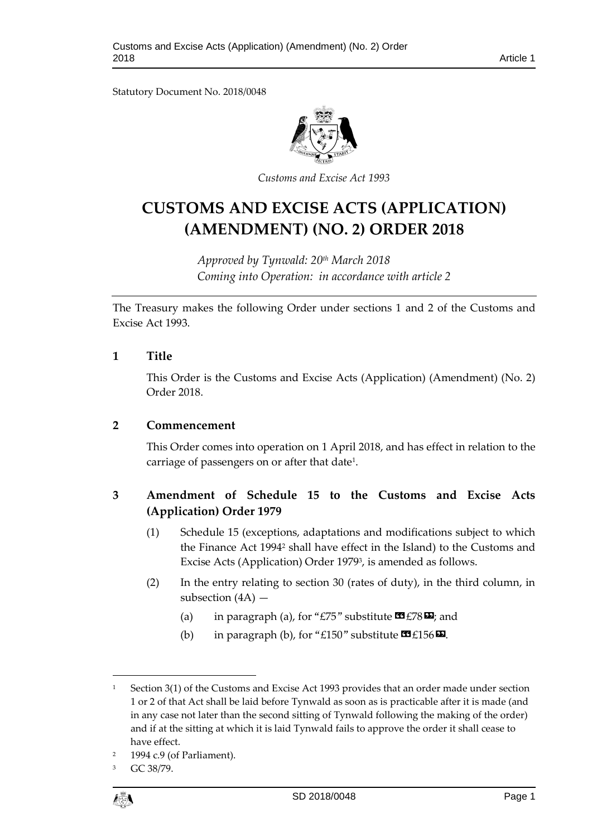Statutory Document No. 2018/0048



*Customs and Excise Act 1993*

# **CUSTOMS AND EXCISE ACTS (APPLICATION) (AMENDMENT) (NO. 2) ORDER 2018**

*Approved by Tynwald: 20 th March 2018 Coming into Operation: in accordance with article 2*

The Treasury makes the following Order under sections 1 and 2 of the Customs and Excise Act 1993.

#### **1 Title**

This Order is the Customs and Excise Acts (Application) (Amendment) (No. 2) Order 2018.

### **2 Commencement**

This Order comes into operation on 1 April 2018, and has effect in relation to the carriage of passengers on or after that date<sup>1</sup>.

# **3 Amendment of Schedule 15 to the Customs and Excise Acts (Application) Order 1979**

- (1) Schedule 15 (exceptions, adaptations and modifications subject to which the Finance Act 1994<sup>2</sup> shall have effect in the Island) to the Customs and Excise Acts (Application) Order 1979<sup>3</sup>, is amended as follows.
- (2) In the entry relating to section 30 (rates of duty), in the third column, in subsection (4A) —
	- (a) in paragraph (a), for "£75" substitute  $\mathbf{\Omega}$  £78 $\mathbf{\Sigma}$ ; and
	- (b) in paragraph (b), for "£150" substitute  $\mathbf{\mathfrak{B}}$  £156 $\mathbf{\Sigma}$ .

GC 38/79.



1

<sup>&</sup>lt;sup>1</sup> Section 3(1) of the Customs and Excise Act 1993 provides that an order made under section 1 or 2 of that Act shall be laid before Tynwald as soon as is practicable after it is made (and in any case not later than the second sitting of Tynwald following the making of the order) and if at the sitting at which it is laid Tynwald fails to approve the order it shall cease to have effect.

<sup>1994</sup> c.9 (of Parliament).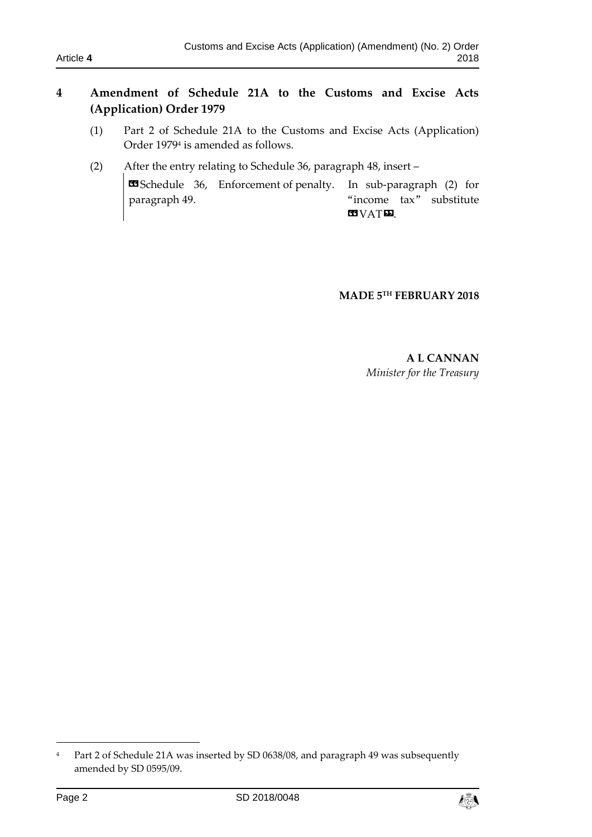## **4 Amendment of Schedule 21A to the Customs and Excise Acts (Application) Order 1979**

- (1) Part 2 of Schedule 21A to the Customs and Excise Acts (Application) Order 1979<sup>4</sup> is amended as follows.
- (2) After the entry relating to Schedule 36, paragraph 48, insert –

**ES** Schedule 36, Enforcement of penalty. In sub-paragraph (2) for paragraph 49. "income tax" substitute **KIVATE** 

## **MADE 5 TH FEBRUARY 2018**

**A L CANNAN** *Minister for the Treasury*

1



<sup>&</sup>lt;sup>4</sup> Part 2 of Schedule 21A was inserted by SD 0638/08, and paragraph 49 was subsequently amended by SD 0595/09.